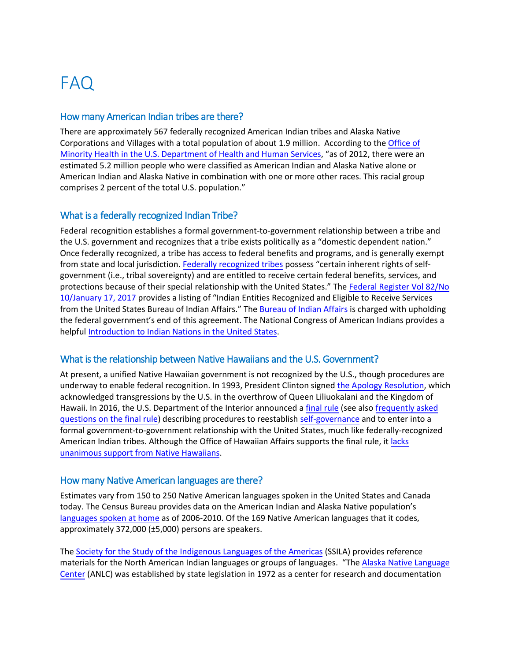# FAQ

#### How many American Indian tribes are there?

There are approximately 567 federally recognized American Indian tribes and Alaska Native Corporations and Villages with a total population of about 1.9 million. According to the [Office of](https://minorityhealth.hhs.gov/omh/browse.aspx?lvl=3&lvlid=62)  [Minority Health](https://minorityhealth.hhs.gov/omh/browse.aspx?lvl=3&lvlid=62) in the U.S. Department of Health and Human Services, "as of 2012, there were an estimated 5.2 million people who were classified as American Indian and Alaska Native alone or American Indian and Alaska Native in combination with one or more other races. This racial group comprises 2 percent of the total U.S. population."

## What is a federally recognized Indian Tribe?

Federal recognition establishes a formal government-to-government relationship between a tribe and the U.S. government and recognizes that a tribe exists politically as a "domestic dependent nation." Once federally recognized, a tribe has access to federal benefits and programs, and is generally exempt from state and local jurisdiction. Federally [recognized tribes](https://www.bia.gov/frequently-asked-questions) possess "certain inherent rights of selfgovernment (i.e., tribal sovereignty) and are entitled to receive certain federal benefits, services, and protections because of their special relationship with the United States." The [Federal Register](https://www.gpo.gov/fdsys/pkg/FR-2017-01-17/pdf/2017-00912.pdf) Vol 82/No [10/January 17,](https://www.gpo.gov/fdsys/pkg/FR-2017-01-17/pdf/2017-00912.pdf) 2017 provides a listing of "Indian Entities Recognized and Eligible to Receive Services from the United States Bureau of Indian Affairs." The [Bureau of Indian Affairs](http://www.bia.gov/) is charged with upholding the federal government's end of this agreement. The National Congress of American Indians provides a helpful [Introduction to Indian Nations in](http://www.ncai.org/about-tribes/indians_101.pdf) the United States.

## What is the relationship between Native Hawaiians and the U.S. Government?

At present, a unified Native Hawaiian government is not recognized by the U.S., though procedures are underway to enable federal recognition. In 1993, President Clinton signed [the Apology Resolution,](https://www.gpo.gov/fdsys/pkg/STATUTE-107/pdf/STATUTE-107-Pg1510.pdf) which acknowledged transgressions by the U.S. in the overthrow of Queen Liliuokalani and the Kingdom of Hawaii. In 2016, the U.S. Department of the Interior announced a [final rule](https://www.doi.gov/sites/doi.gov/files/uploads/final_rule_43_cfr_part_50_pathway_for_reestablishing_a_formal_government_to_government_relationship_with_the_native_hawaiian_community.pdf) (see also [frequently asked](https://www.doi.gov/sites/doi.gov/files/uploads/external_faqs_on_part_50_final_rule_9.21.16_final.pdf) questions [on the final rule\)](https://www.doi.gov/sites/doi.gov/files/uploads/external_faqs_on_part_50_final_rule_9.21.16_final.pdf) describing procedures to reestablish [self-governance](https://www.doi.gov/pressreleases/interior-department-finalizes-pathway-reestablish-formal-government-government) and to enter into a formal government-to-government relationship with the United States, much like federally-recognized American Indian tribes. Although the Office of Hawaiian Affairs supports the final rule, it [lacks](https://www.nbcnews.com/news/asian-america/department-interior-finalizes-rule-recognize-native-hawaiian-government-n653631) [unanimous support from Native Hawaiians.](https://www.nbcnews.com/news/asian-america/department-interior-finalizes-rule-recognize-native-hawaiian-government-n653631)

#### How many Native American languages are there?

Estimates vary from 150 to 250 Native American languages spoken in the United States and Canada today. The Census Bureau provides data on the American Indian and Alaska Native population's [languages spoken at home](https://www.census.gov/prod/2011pubs/acsbr10-10.pdf) as of 2006-2010. Of the 169 Native American languages that it codes, approximately 372,000 (±5,000) persons are speakers.

The Society for the Study [of the Indigenous Languages](http://ssila.org/) of the Americas (SSILA) provides reference materials for the North American Indian languages or groups of languages. "Th[e Alaska Native Language](https://www.uaf.edu/anlc/) [Center](https://www.uaf.edu/anlc/) (ANLC) was established by state legislation in 1972 as a center for research and documentation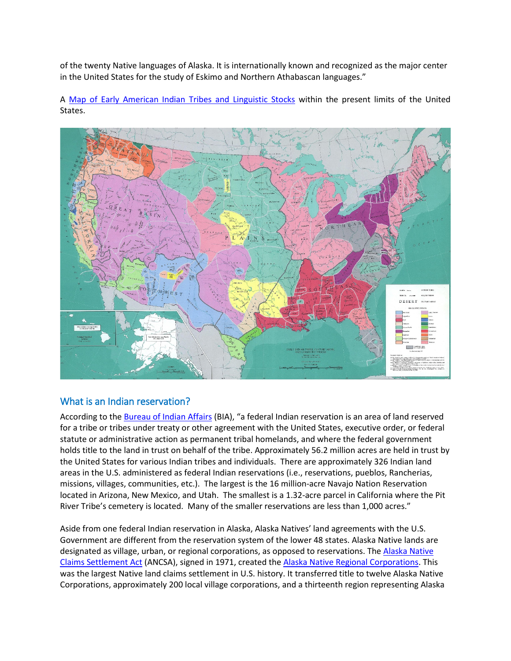of the twenty Native languages of Alaska. It is internationally known and recognized as the major center in the United States for the study of Eskimo and Northern Athabascan languages."

A [Map of Early American Indian Tribes and Linguistic Stocks](https://commons.wikimedia.org/wiki/File:Early_Localization_Native_Americans_USA.jpg) within the present limits of the United States.



## What is an Indian reservation?

According to th[e Bureau of Indian Affairs](https://www.bia.gov/frequently-asked-questions) (BIA), "a federal Indian reservation is an area of land reserved for a tribe or tribes under treaty or other agreement with the United States, executive order, or federal statute or administrative action as permanent tribal homelands, and where the federal government holds title to the land in trust on behalf of the tribe. Approximately 56.2 million acres are held in trust by the United States for various Indian tribes and individuals. There are approximately 326 Indian land areas in the U.S. administered as federal Indian reservations (i.e., reservations, pueblos, Rancherias, missions, villages, communities, etc.). The largest is the 16 million-acre Navajo Nation Reservation located in Arizona, New Mexico, and Utah. The smallest is a 1.32-acre parcel in California where the Pit River Tribe's cemetery is located. Many of the smaller reservations are less than 1,000 acres."

Aside from one federal Indian reservation in Alaska, Alaska Natives' land agreements with the U.S. Government are different from the reservation system of the lower 48 states. Alaska Native lands are designated as village, urban, or regional corporations, as opposed to reservations. The [Alaska Native](http://uscode.house.gov/view.xhtml?path=/prelim@title43/chapter33&edition=prelim)  [Claims Settlement Act](http://uscode.house.gov/view.xhtml?path=/prelim@title43/chapter33&edition=prelim) (ANCSA), signed in 1971, created th[e Alaska Native Regional Corporations.](http://www.ncai.org/tribal-directory/alaska-native-corporations) This was the largest Native land claims settlement in U.S. history. It transferred title to twelve Alaska Native Corporations, approximately 200 local village corporations, and a thirteenth region representing Alaska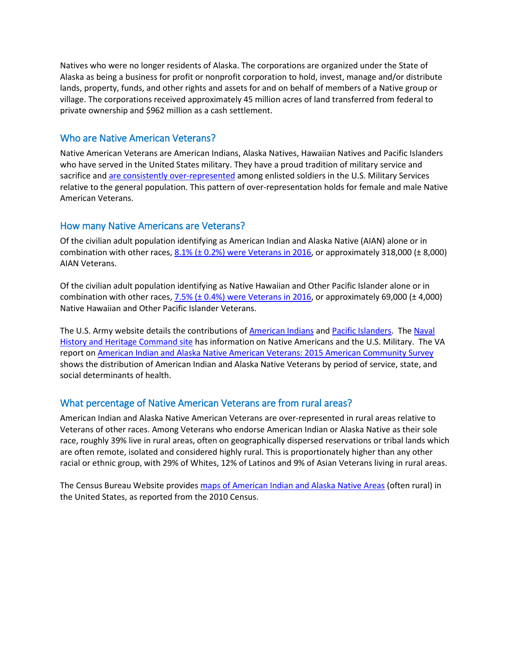Natives who were no longer residents of Alaska. The corporations are organized under the State of Alaska as being a business for profit or nonprofit corporation to hold, invest, manage and/or distribute lands, property, funds, and other rights and assets for and on behalf of members of a Native group or village. The corporations received approximately 45 million acres of land transferred from federal to private ownership and \$962 million as a cash settlement.

## Who are Native American Veterans?

Native American Veterans are American Indians, Alaska Natives, Hawaiian Natives and Pacific Islanders who have served in the United States military. They have a proud tradition of military service and sacrifice an[d are consistently over-represented](https://www.cna.org/research/pop-rep) among enlisted soldiers in the U.S. Military Services relative to the general population. This pattern of over-representation holds for female and male Native American Veterans.

#### How many Native Americans are Veterans?

Of the civilian adult population identifying as American Indian and Alaska Native (AIAN) alone or in combination with other races,  $8.1\%$  ( $\pm$  0.2%) [were Veterans in 2016,](https://factfinder.census.gov/faces/tableservices/jsf/pages/productview.xhtml?pid=ACS_16_1YR_S0201&prodType=table) or approximately 318,000 ( $\pm$  8,000) AIAN Veterans.

Of the civilian adult population identifying as Native Hawaiian and Other Pacific Islander alone or in combination with other races, 7.5% (± 0.4%) [were Veterans in 2016,](https://factfinder.census.gov/faces/tableservices/jsf/pages/productview.xhtml?pid=ACS_16_1YR_S0201&prodType=table) or approximately 69,000 (± 4,000) Native Hawaiian and Other Pacific Islander Veterans.

The U.S. Army website details the contributions of [American Indians](https://www.army.mil/americanindians/) and [Pacific Islanders.](https://www.army.mil/asianpacificamericans/) The Naval History and [Heritage Command site](https://www.history.navy.mil/research/library/online-reading-room/title-list-alphabetically/t/american-indians-us-military.html) has information on Native Americans and the U.S. Military. The VA report on [American Indian and Alaska Native American Veterans: 2015 American Community Survey](https://www.va.gov/vetdata/docs/SpecialReports/AIANReport.pdf) shows the distribution of American Indian and Alaska Native Veterans by period of service, state, and social determinants of health.

#### What percentage of Native American Veterans are from rural areas?

American Indian and Alaska Native American Veterans are over-represented in rural areas relative to Veterans of other races. Among Veterans who endorse American Indian or Alaska Native as their sole race, roughly 39% live in rural areas, often on geographically dispersed reservations or tribal lands which are often remote, isolated and considered highly rural. This is proportionately higher than any other racial or ethnic group, with 29% of Whites, 12% of Latinos and 9% of Asian Veterans living in rural areas.

The Census Bureau Website provides [maps of American Indian and Alaska Native Areas](https://www.census.gov/geo/maps-data/maps/aian_wall_maps.html) (often rural) in the United States, as reported from the 2010 Census.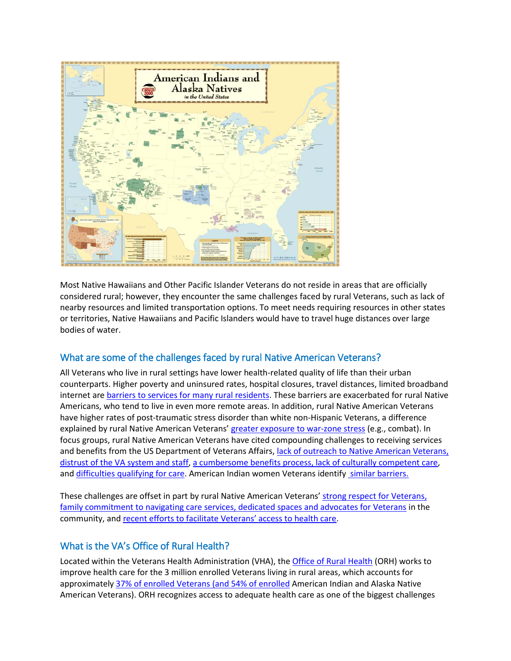

Most Native Hawaiians and Other Pacific Islander Veterans do not reside in areas that are officially considered rural; however, they encounter the same challenges faced by rural Veterans, such as lack of nearby resources and limited transportation options. To meet needs requiring resources in other states or territories, Native Hawaiians and Pacific Islanders would have to travel huge distances over large bodies of water.

# What are some of the challenges faced by rural Native American Veterans?

All Veterans who live in rural settings have lower health-related quality of life than their urban counterparts. Higher poverty and uninsured rates, hospital closures, travel distances, limited broadband internet are [barriers to services for many rural residents.](https://www.ruralhealth.va.gov/aboutus/ruralvets.asp) These barriers are exacerbated for rural Native Americans, who tend to live in even more remote areas. In addition, rural Native American Veterans have higher rates of post-traumatic stress disorder than white non-Hispanic Veterans, a difference explained by rural Native American Veterans' [greater exposure to war-zone stress](https://www.ncbi.nlm.nih.gov/pubmed/12013069) (e.g., combat). In focus groups, rural Native American Veterans have cited compounding challenges to receiving services and benefits from the US Department of Veterans Affairs, [lack of outreach to Native American Veterans,](https://www.ncbi.nlm.nih.gov/pubmed/11789633)  [distrust of the VA system and staff,](https://www.ncbi.nlm.nih.gov/pubmed/11789633) [a cumbersome benefits process, lack of culturally competent care,](https://www.ncbi.nlm.nih.gov/pubmed/27115133) and [difficulties qualifying for care.](https://www.ncbi.nlm.nih.gov/pubmed/28337577) American Indian women Veterans identify [similar barriers.](https://scholarsarchive.byu.edu/cgi/viewcontent.cgi?referer=https://www.google.com/&httpsredir=1&article=6235&context=etd) 

These challenges are offset in part by rural Native American Veterans[' strong respect for Veterans,](https://www.ncbi.nlm.nih.gov/pubmed/27115133)  [family commitment to navigating care services, dedicated spaces and advocates for Veterans](https://www.ncbi.nlm.nih.gov/pubmed/27115133) in the community, and [recent efforts to facilitate Veterans' access to health care.](https://www.ncbi.nlm.nih.gov/pubmed/28337577)

# What is the VA's Office of Rural Health?

Located within the Veterans Health Administration (VHA), the [Office of Rural Health](https://www.ruralhealth.va.gov/RURALHEALTH/index.asp) (ORH) works to improve health care for the 3 million enrolled Veterans living in rural areas, which accounts for approximately [37% of enrolled Veterans \(and 54%](https://www.va.gov/HEALTHEQUITY/docs/NVHER_FY13_Chapter_3_10062016.pdf) of enrolled American Indian and Alaska Native American Veterans). ORH recognizes access to adequate health care as one of the biggest challenges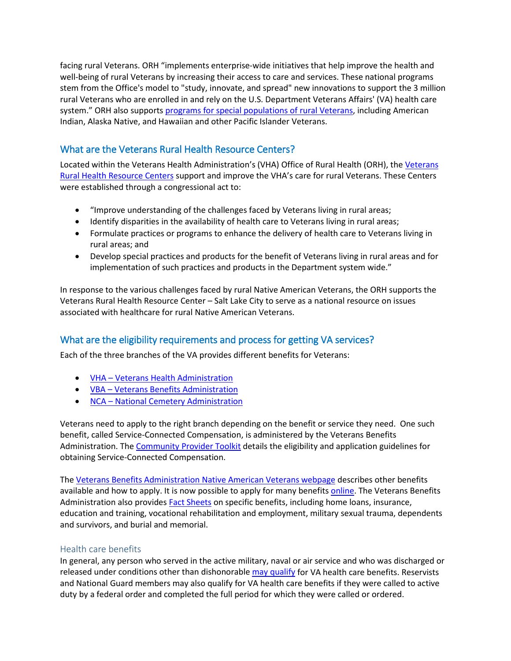facing rural Veterans. ORH "implements enterprise-wide initiatives that help improve the health and well-being of rural Veterans by increasing their access to care and services. These national programs stem from the Office's model to "study, innovate, and spread" new innovations to support the 3 million rural Veterans who are enrolled in and rely on the U.S. Department Veterans Affairs' (VA) health care system." ORH also supports [programs for special populations of rural Veterans,](https://www.ruralhealth.va.gov/aboutus/programs.asp) including American Indian, Alaska Native, and Hawaiian and other Pacific Islander Veterans.

## What are the Veterans Rural Health Resource Centers?

Located within the [Veterans](https://www.ruralhealth.va.gov/aboutus/orh.asp) Health Administration's (VHA) Office of Rural Health (ORH), the Veterans [Rural Health Resource Centers](https://www.ruralhealth.va.gov/aboutus/orh.asp) support and improve the VHA's care for rural Veterans. These Centers were established through a congressional act to:

- "Improve understanding of the challenges faced by Veterans living in rural areas;
- Identify disparities in the availability of health care to Veterans living in rural areas;
- Formulate practices or programs to enhance the delivery of health care to Veterans living in rural areas; and
- Develop special practices and products for the benefit of Veterans living in rural areas and for implementation of such practices and products in the Department system wide."

In response to the various challenges faced by rural Native American Veterans, the ORH supports the Veterans Rural Health Resource Center – Salt Lake City to serve as a national resource on issues associated with healthcare for rural Native American Veterans.

## What are the eligibility requirements and process for getting VA services?

Each of the three branches of the VA provides different benefits for Veterans:

- [VHA Veterans Health Administration](https://www.va.gov/health/)
- [VBA Veterans Benefits Administration](https://benefits.va.gov/benefits/)
- [NCA National Cemetery Administration](https://www.cem.va.gov/)

Veterans need to apply to the right branch depending on the benefit or service they need. One such benefit, called Service-Connected Compensation, is administered by the Veterans Benefits Administration. The [Community Provider Toolkit](https://www.mentalhealth.va.gov/communityproviders/clinic_benefits.asp) details the eligibility and application guidelines for obtaining Service-Connected Compensation.

The [Veterans Benefits Administration Native American Veterans webpage](https://www.benefits.va.gov/persona/veteran-tribal.asp) describes other benefits available and how to apply. It is now possible to apply for many benefit[s online.](https://www.ebenefits.va.gov/ebenefits/apply) The Veterans Benefits Administration also provide[s Fact Sheets](https://benefits.va.gov/benefits/factsheets.asp) on specific benefits, including home loans, insurance, education and training, vocational rehabilitation and employment, military sexual trauma, dependents and survivors, and burial and memorial.

#### Health care benefits

In general, any person who served in the active military, naval or air service and who was discharged or released under conditions other than dishonorable [may qualify](https://www.vets.gov/health-care/eligibility/) for VA health care benefits. Reservists and National Guard members may also qualify for VA health care benefits if they were called to active duty by a federal order and completed the full period for which they were called or ordered.